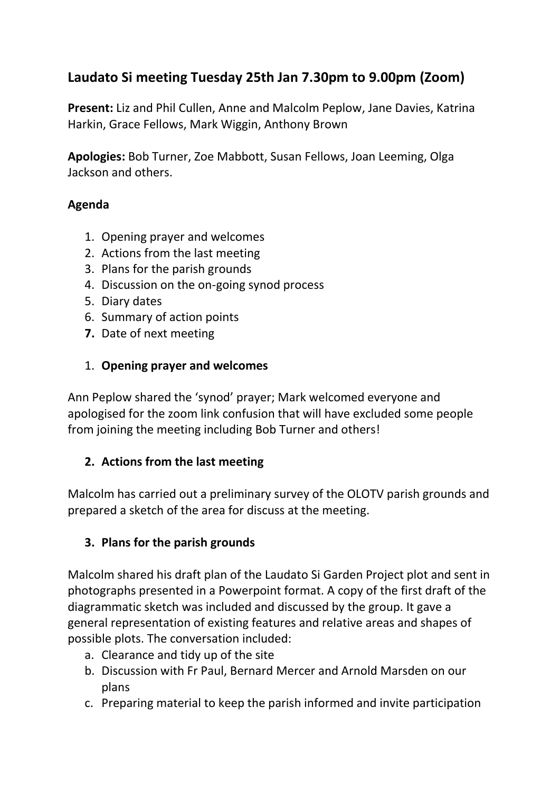# **Laudato Si meeting Tuesday 25th Jan 7.30pm to 9.00pm (Zoom)**

**Present:** Liz and Phil Cullen, Anne and Malcolm Peplow, Jane Davies, Katrina Harkin, Grace Fellows, Mark Wiggin, Anthony Brown

**Apologies:** Bob Turner, Zoe Mabbott, Susan Fellows, Joan Leeming, Olga Jackson and others.

#### **Agenda**

- 1. Opening prayer and welcomes
- 2. Actions from the last meeting
- 3. Plans for the parish grounds
- 4. Discussion on the on-going synod process
- 5. Diary dates
- 6. Summary of action points
- **7.** Date of next meeting
- 1. **Opening prayer and welcomes**

Ann Peplow shared the 'synod' prayer; Mark welcomed everyone and apologised for the zoom link confusion that will have excluded some people from joining the meeting including Bob Turner and others!

## **2. Actions from the last meeting**

Malcolm has carried out a preliminary survey of the OLOTV parish grounds and prepared a sketch of the area for discuss at the meeting.

## **3. Plans for the parish grounds**

Malcolm shared his draft plan of the Laudato Si Garden Project plot and sent in photographs presented in a Powerpoint format. A copy of the first draft of the diagrammatic sketch was included and discussed by the group. It gave a general representation of existing features and relative areas and shapes of possible plots. The conversation included:

- a. Clearance and tidy up of the site
- b. Discussion with Fr Paul, Bernard Mercer and Arnold Marsden on our plans
- c. Preparing material to keep the parish informed and invite participation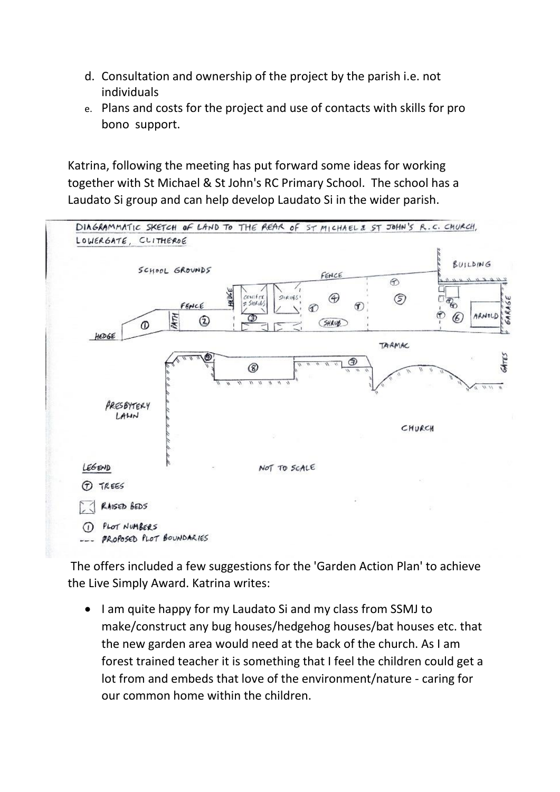- d. Consultation and ownership of the project by the parish i.e. not individuals
- e. Plans and costs for the project and use of contacts with skills for pro bono support.

Katrina, following the meeting has put forward some ideas for working together with St Michael & St John's RC Primary School. The school has a Laudato Si group and can help develop Laudato Si in the wider parish.



The offers included a few suggestions for the 'Garden Action Plan' to achieve the Live Simply Award. Katrina writes:

• I am quite happy for my Laudato Si and my class from SSMJ to make/construct any bug houses/hedgehog houses/bat houses etc. that the new garden area would need at the back of the church. As I am forest trained teacher it is something that I feel the children could get a lot from and embeds that love of the environment/nature - caring for our common home within the children.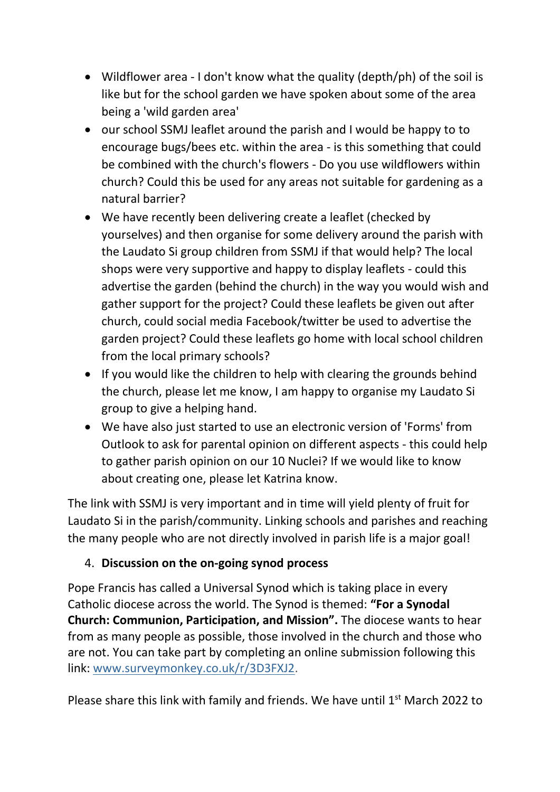- Wildflower area I don't know what the quality (depth/ph) of the soil is like but for the school garden we have spoken about some of the area being a 'wild garden area'
- our school SSMJ leaflet around the parish and I would be happy to to encourage bugs/bees etc. within the area - is this something that could be combined with the church's flowers - Do you use wildflowers within church? Could this be used for any areas not suitable for gardening as a natural barrier?
- We have recently been delivering create a leaflet (checked by yourselves) and then organise for some delivery around the parish with the Laudato Si group children from SSMJ if that would help? The local shops were very supportive and happy to display leaflets - could this advertise the garden (behind the church) in the way you would wish and gather support for the project? Could these leaflets be given out after church, could social media Facebook/twitter be used to advertise the garden project? Could these leaflets go home with local school children from the local primary schools?
- If you would like the children to help with clearing the grounds behind the church, please let me know, I am happy to organise my Laudato Si group to give a helping hand.
- We have also just started to use an electronic version of 'Forms' from Outlook to ask for parental opinion on different aspects - this could help to gather parish opinion on our 10 Nuclei? If we would like to know about creating one, please let Katrina know.

The link with SSMJ is very important and in time will yield plenty of fruit for Laudato Si in the parish/community. Linking schools and parishes and reaching the many people who are not directly involved in parish life is a major goal!

## 4. **Discussion on the on-going synod process**

Pope Francis has called a Universal Synod which is taking place in every Catholic diocese across the world. The Synod is themed: **"For a Synodal Church: Communion, Participation, and Mission".** The diocese wants to hear from as many people as possible, those involved in the church and those who are not. You can take part by completing an online submission following this link: [www.surveymonkey.co.uk/r/3D3FXJ2.](https://dioceseofsalford.us6.list-manage.com/track/click?u=76e219dab8653b775ba8aac4c&id=0c43e9393a&e=643bc6868c)

Please share this link with family and friends. We have until 1<sup>st</sup> March 2022 to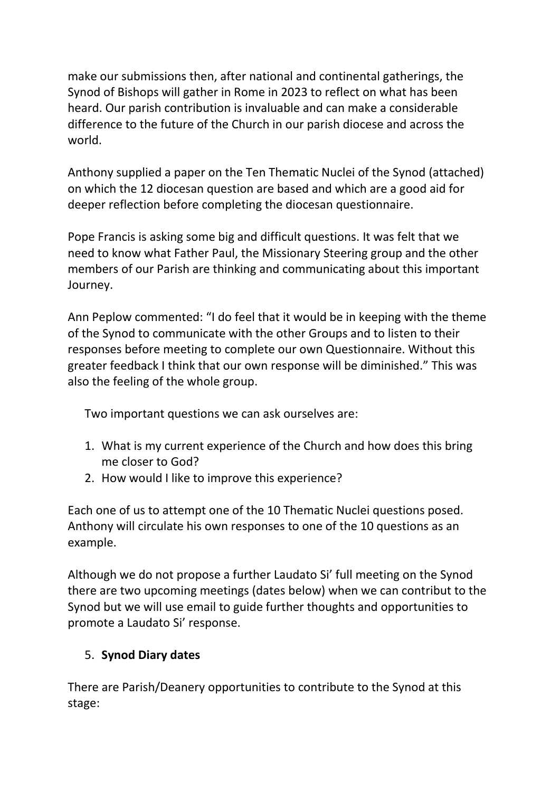make our submissions then, after national and continental gatherings, the Synod of Bishops will gather in Rome in 2023 to reflect on what has been heard. Our parish contribution is invaluable and can make a considerable difference to the future of the Church in our parish diocese and across the world.

Anthony supplied a paper on the Ten Thematic Nuclei of the Synod (attached) on which the 12 diocesan question are based and which are a good aid for deeper reflection before completing the diocesan questionnaire.

Pope Francis is asking some big and difficult questions. It was felt that we need to know what Father Paul, the Missionary Steering group and the other members of our Parish are thinking and communicating about this important Journey.

Ann Peplow commented: "I do feel that it would be in keeping with the theme of the Synod to communicate with the other Groups and to listen to their responses before meeting to complete our own Questionnaire. Without this greater feedback I think that our own response will be diminished." This was also the feeling of the whole group.

Two important questions we can ask ourselves are:

- 1. What is my current experience of the Church and how does this bring me closer to God?
- 2. How would I like to improve this experience?

Each one of us to attempt one of the 10 Thematic Nuclei questions posed. Anthony will circulate his own responses to one of the 10 questions as an example.

Although we do not propose a further Laudato Si' full meeting on the Synod there are two upcoming meetings (dates below) when we can contribut to the Synod but we will use email to guide further thoughts and opportunities to promote a Laudato Si' response.

## 5. **Synod Diary dates**

There are Parish/Deanery opportunities to contribute to the Synod at this stage: